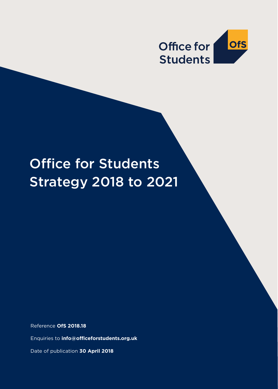

# Office for Students Strategy 2018 to 2021

Reference **OfS 2018.18**

Enquiries to **info@officeforstudents.org.uk**

Date of publication **30 April 2018**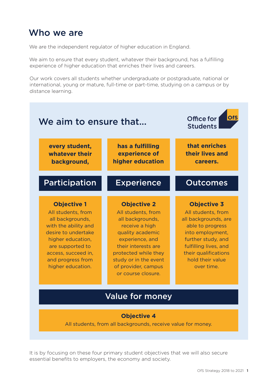# Who we are

We are the independent regulator of higher education in England.

We aim to ensure that every student, whatever their background, has a fulfilling experience of higher education that enriches their lives and careers.

Our work covers all students whether undergraduate or postgraduate, national or international, young or mature, full-time or part-time, studying on a campus or by distance learning.



#### **Objective 4**

All students, from all backgrounds, receive value for money.

It is by focusing on these four primary student objectives that we will also secure essential benefits to employers, the economy and society.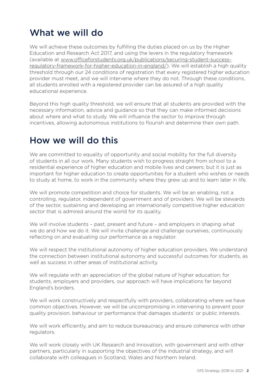# What we will do

We will achieve these outcomes by fulfilling the duties placed on us by the Higher Education and Research Act 2017, and using the levers in the regulatory framework (available at [www.officeforstudents.org.uk/publications/securing-student-success](http://www.officeforstudents.org.uk/publications/securing-student-success-regulatory-framework-for-higher-education-in-england/)[regulatory-framework-for-higher-education-in-england/](http://www.officeforstudents.org.uk/publications/securing-student-success-regulatory-framework-for-higher-education-in-england/)). We will establish a high quality threshold through our 24 conditions of registration that every registered higher education provider must meet, and we will intervene where they do not. Through these conditions, all students enrolled with a registered provider can be assured of a high quality educational experience.

Beyond this high quality threshold, we will ensure that all students are provided with the necessary information, advice and guidance so that they can make informed decisions about where and what to study. We will influence the sector to improve through incentives, allowing autonomous institutions to flourish and determine their own path.

# How we will do this

We are committed to equality of opportunity and social mobility for the full diversity of students in all our work. Many students wish to progress straight from school to a residential experience of higher education and mobile lives and careers; but it is just as important for higher education to create opportunities for a student who wishes or needs to study at home, to work in the community where they grew up and to learn later in life.

We will promote competition and choice for students. We will be an enabling, not a controlling, regulator, independent of government and of providers. We will be stewards of the sector, sustaining and developing an internationally competitive higher education sector that is admired around the world for its quality.

We will involve students – past, present and future – and employers in shaping what we do and how we do it. We will invite challenge and challenge ourselves, continuously reflecting on and evaluating our performance as a regulator.

We will respect the institutional autonomy of higher education providers. We understand the connection between institutional autonomy and successful outcomes for students, as well as success in other areas of institutional activity.

We will regulate with an appreciation of the global nature of higher education; for students, employers and providers, our approach will have implications far beyond England's borders.

We will work constructively and respectfully with providers, collaborating where we have common objectives. However, we will be uncompromising in intervening to prevent poor quality provision, behaviour or performance that damages students' or public interests.

We will work efficiently, and aim to reduce bureaucracy and ensure coherence with other regulators.

We will work closely with UK Research and Innovation, with government and with other partners, particularly in supporting the objectives of the industrial strategy, and will collaborate with colleagues in Scotland, Wales and Northern Ireland.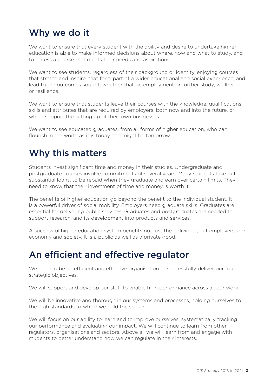# Why we do it

We want to ensure that every student with the ability and desire to undertake higher education is able to make informed decisions about where, how and what to study, and to access a course that meets their needs and aspirations.

We want to see students, regardless of their background or identity, enjoying courses that stretch and inspire, that form part of a wider educational and social experience, and lead to the outcomes sought, whether that be employment or further study, wellbeing or resilience.

We want to ensure that students leave their courses with the knowledge, qualifications, skills and attributes that are required by employers, both now and into the future, or which support the setting up of their own businesses.

We want to see educated graduates, from all forms of higher education, who can flourish in the world as it is today and might be tomorrow.

## Why this matters

Students invest significant time and money in their studies. Undergraduate and postgraduate courses involve commitments of several years. Many students take out substantial loans, to be repaid when they graduate and earn over certain limits. They need to know that their investment of time and money is worth it.

The benefits of higher education go beyond the benefit to the individual student. It is a powerful driver of social mobility. Employers need graduate skills. Graduates are essential for delivering public services. Graduates and postgraduates are needed to support research, and its development into products and services.

A successful higher education system benefits not just the individual, but employers, our economy and society. It is a public as well as a private good.

## An efficient and effective regulator

We need to be an efficient and effective organisation to successfully deliver our four strategic objectives.

We will support and develop our staff to enable high performance across all our work.

We will be innovative and thorough in our systems and processes, holding ourselves to the high standards to which we hold the sector.

We will focus on our ability to learn and to improve ourselves, systematically tracking our performance and evaluating our impact. We will continue to learn from other regulators, organisations and sectors. Above all we will learn from and engage with students to better understand how we can regulate in their interests.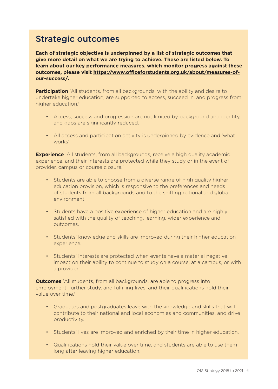#### Strategic outcomes

**Each of strategic objective is underpinned by a list of strategic outcomes that give more detail on what we are trying to achieve. These are listed below. To learn about our key performance measures, which monitor progress against these outcomes, please visit [https://www.officeforstudents.org.uk/about/measures-of](https://www.officeforstudents.org.uk/about/measures-of-our-success/)[our-success/.](https://www.officeforstudents.org.uk/about/measures-of-our-success/)**

**Participation** 'All students, from all backgrounds, with the ability and desire to undertake higher education, are supported to access, succeed in, and progress from higher education.'

- Access, success and progression are not limited by background and identity, and gaps are significantly reduced.
- All access and participation activity is underpinned by evidence and 'what works'.

**Experience** 'All students, from all backgrounds, receive a high quality academic experience, and their interests are protected while they study or in the event of provider, campus or course closure.'

- Students are able to choose from a diverse range of high quality higher education provision, which is responsive to the preferences and needs of students from all backgrounds and to the shifting national and global environment.
- Students have a positive experience of higher education and are highly satisfied with the quality of teaching, learning, wider experience and outcomes.
- Students' knowledge and skills are improved during their higher education experience.
- Students' interests are protected when events have a material negative impact on their ability to continue to study on a course, at a campus, or with a provider.

**Outcomes** 'All students, from all backgrounds, are able to progress into employment, further study, and fulfilling lives, and their qualifications hold their value over time.'

- Graduates and postgraduates leave with the knowledge and skills that will contribute to their national and local economies and communities, and drive productivity.
- Students' lives are improved and enriched by their time in higher education.
- Qualifications hold their value over time, and students are able to use them long after leaving higher education.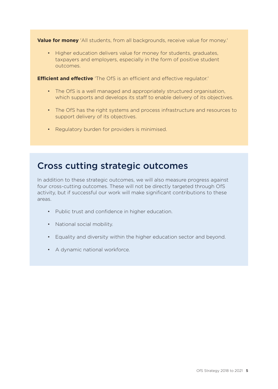**Value for money** 'All students, from all backgrounds, receive value for money.'

• Higher education delivers value for money for students, graduates, taxpayers and employers, especially in the form of positive student outcomes.

**Efficient and effective** 'The OfS is an efficient and effective regulator.'

- The OfS is a well managed and appropriately structured organisation, which supports and develops its staff to enable delivery of its objectives.
- The OfS has the right systems and process infrastructure and resources to support delivery of its objectives.
- Regulatory burden for providers is minimised.

#### Cross cutting strategic outcomes

In addition to these strategic outcomes, we will also measure progress against four cross-cutting outcomes. These will not be directly targeted through OfS activity, but if successful our work will make significant contributions to these areas.

- Public trust and confidence in higher education.
- National social mobility.
- Equality and diversity within the higher education sector and beyond.
- A dynamic national workforce.